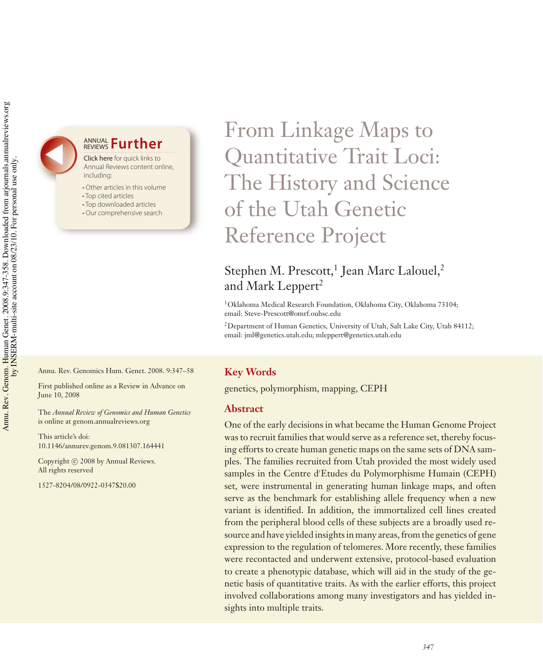# **ANNUAL Further**

Click here for quick links to Annual Reviews content online, including:

- Other articles in this volume
- Top cited articles
- Top downloaded articles
- Our comprehensive search

# From Linkage Maps to Quantitative Trait Loci: The History and Science of the Utah Genetic Reference Project

# Stephen M. Prescott,<sup>1</sup> Jean Marc Lalouel,<sup>2</sup> and Mark Leppert<sup>2</sup>

1Oklahoma Medical Research Foundation, Oklahoma City, Oklahoma 73104; email: Steve-Prescott@omrf.ouhsc.edu

<sup>2</sup>Department of Human Genetics, University of Utah, Salt Lake City, Utah 84112; email: jml@genetics.utah.edu; mleppert@genetics.utah.edu

Annu. Rev. Genomics Hum. Genet. 2008. 9:347–58

First published online as a Review in Advance on June 10, 2008

The *Annual Review of Genomics and Human Genetics* is online at genom.annualreviews.org

This article's doi: 10.1146/annurev.genom.9.081307.164441

Copyright  $\odot$  2008 by Annual Reviews. All rights reserved

1527-8204/08/0922-0347\$20.00

#### **Key Words**

genetics, polymorphism, mapping, CEPH

#### **Abstract**

One of the early decisions in what became the Human Genome Project was to recruit families that would serve as a reference set, thereby focusing efforts to create human genetic maps on the same sets of DNA samples. The families recruited from Utah provided the most widely used samples in the Centre d'Etudes du Polymorphisme Humain (CEPH) set, were instrumental in generating human linkage maps, and often serve as the benchmark for establishing allele frequency when a new variant is identified. In addition, the immortalized cell lines created from the peripheral blood cells of these subjects are a broadly used resource and have yielded insights in many areas, from the genetics of gene expression to the regulation of telomeres. More recently, these families were recontacted and underwent extensive, protocol-based evaluation to create a phenotypic database, which will aid in the study of the genetic basis of quantitative traits. As with the earlier efforts, this project involved collaborations among many investigators and has yielded insights into multiple traits.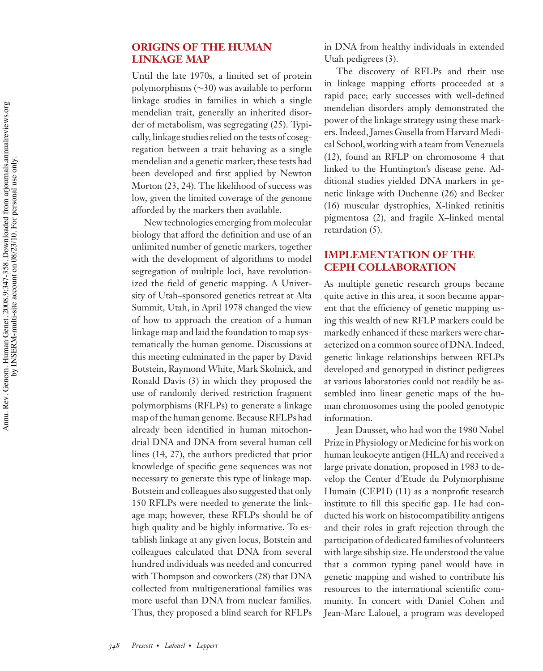### **ORIGINS OF THE HUMAN LINKAGE MAP**

Until the late 1970s, a limited set of protein polymorphisms ( ∼30) was available to perform linkage studies in families in which a single mendelian trait, generally an inherited disorder of metabolism, was segregating (25). Typically, linkage studies relied on the tests of cosegregation between a trait behaving as a single mendelian and a genetic marker; these tests had been developed and first applied by Newton Morton (23, 24). The likelihood of success was low, given the limited coverage of the genome afforded by the markers then available.

New technologies emerging from molecular biology that afford the definition and use of an unlimited number of genetic markers, together with the development of algorithms to model segregation of multiple loci, have revolutionized the field of genetic mapping. A University of Utah–sponsored genetics retreat at Alta Summit, Utah, in April 1978 changed the view of how to approach the creation of a human linkage map and laid the foundation to map systematically the human genome. Discussions at this meeting culminated in the paper by David Botstein, Raymond White, Mark Skolnick, and Ronald Davis (3) in which they proposed the use of randomly derived restriction fragment polymorphisms (RFLPs) to generate a linkage map of the human genome. Because RFLPs had already been identified in human mitochondrial DNA and DNA from several human cell lines (14, 27), the authors predicted that prior knowledge of specific gene sequences was not necessary to generate this type of linkage map. Botstein and colleagues also suggested that only 150 RFLPs were needed to generate the linkage map; however, these RFLPs should be of high quality and be highly informative. To establish linkage at any given locus, Botstein and colleagues calculated that DNA from several hundred individuals was needed and concurred with Thompson and coworkers (28) that DNA collected from multigenerational families was more useful than DNA from nuclear families. Thus, they proposed a blind search for RFLPs

in DNA from healthy individuals in extended Utah pedigrees (3).

The discovery of RFLPs and their use in linkage mapping efforts proceeded at a rapid pace; early successes with well-defined mendelian disorders amply demonstrated the power of the linkage strategy using these markers. Indeed, James Gusella from Harvard Medical School, working with a team from Venezuela (12), found an RFLP on chromosome 4 that linked to the Huntington's disease gene. Additional studies yielded DNA markers in genetic linkage with Duchenne (26) and Becker (16) muscular dystrophies, X-linked retinitis pigmentosa (2), and fragile X–linked mental retardation (5).

## **IMPLEMENTATION OF THE CEPH COLLABORATION**

As multiple genetic research groups became quite active in this area, it soon became apparent that the efficiency of genetic mapping using this wealth of new RFLP markers could be markedly enhanced if these markers were characterized on a common source of DNA. Indeed, genetic linkage relationships between RFLPs developed and genotyped in distinct pedigrees at various laboratories could not readily be assembled into linear genetic maps of the human chromosomes using the pooled genotypic information.

Jean Dausset, who had won the 1980 Nobel Prize in Physiology or Medicine for his work on human leukocyte antigen (HLA) and received a large private donation, proposed in 1983 to develop the Center d'Etude du Polymorphisme Humain (CEPH) (11) as a nonprofit research institute to fill this specific gap. He had conducted his work on histocompatibility antigens and their roles in graft rejection through the participation of dedicated families of volunteers with large sibship size. He understood the value that a common typing panel would have in genetic mapping and wished to contribute his resources to the international scientific community. In concert with Daniel Cohen and Jean-Marc Lalouel, a program was developed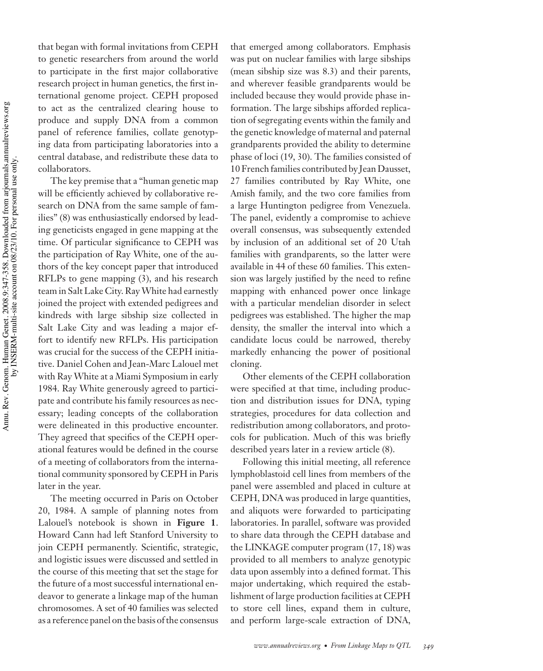Annu. Rev. Genom. Human Genet. 2008.9:347-358. Downloaded from arjournals.annualreviews.org<br>by INSERM-multi-site account on 08/23/10. For personal use only. Annu. Rev. Genom. Human Genet. 2008.9:347-358. Downloaded from arjournals.annualreviews.org by INSERM-multi-site account on 08/23/10. For personal use only.

that began with formal invitations from CEPH to genetic researchers from around the world to participate in the first major collaborative research project in human genetics, the first international genome project. CEPH proposed to act as the centralized clearing house to produce and supply DNA from a common panel of reference families, collate genotyping data from participating laboratories into a central database, and redistribute these data to collaborators.

The key premise that a "human genetic map will be efficiently achieved by collaborative research on DNA from the same sample of families" (8) was enthusiastically endorsed by leading geneticists engaged in gene mapping at the time. Of particular significance to CEPH was the participation of Ray White, one of the authors of the key concept paper that introduced RFLPs to gene mapping (3), and his research team in Salt Lake City. RayWhite had earnestly joined the project with extended pedigrees and kindreds with large sibship size collected in Salt Lake City and was leading a major effort to identify new RFLPs. His participation was crucial for the success of the CEPH initiative. Daniel Cohen and Jean-Marc Lalouel met with Ray White at a Miami Symposium in early 1984. Ray White generously agreed to participate and contribute his family resources as necessary; leading concepts of the collaboration were delineated in this productive encounter. They agreed that specifics of the CEPH operational features would be defined in the course of a meeting of collaborators from the international community sponsored by CEPH in Paris later in the year.

The meeting occurred in Paris on October 20, 1984. A sample of planning notes from Lalouel's notebook is shown in **Figure 1**. Howard Cann had left Stanford University to join CEPH permanently. Scientific, strategic, and logistic issues were discussed and settled in the course of this meeting that set the stage for the future of a most successful international endeavor to generate a linkage map of the human chromosomes. A set of 40 families was selected as a reference panel on the basis of the consensus

that emerged among collaborators. Emphasis was put on nuclear families with large sibships (mean sibship size was 8.3) and their parents, and wherever feasible grandparents would be included because they would provide phase information. The large sibships afforded replication of segregating events within the family and the genetic knowledge of maternal and paternal grandparents provided the ability to determine phase of loci (19, 30). The families consisted of 10 French families contributed by Jean Dausset, 27 families contributed by Ray White, one Amish family, and the two core families from a large Huntington pedigree from Venezuela. The panel, evidently a compromise to achieve overall consensus, was subsequently extended by inclusion of an additional set of 20 Utah families with grandparents, so the latter were available in 44 of these 60 families. This extension was largely justified by the need to refine mapping with enhanced power once linkage with a particular mendelian disorder in select pedigrees was established. The higher the map density, the smaller the interval into which a candidate locus could be narrowed, thereby markedly enhancing the power of positional cloning.

Other elements of the CEPH collaboration were specified at that time, including production and distribution issues for DNA, typing strategies, procedures for data collection and redistribution among collaborators, and protocols for publication. Much of this was briefly described years later in a review article (8).

Following this initial meeting, all reference lymphoblastoid cell lines from members of the panel were assembled and placed in culture at CEPH, DNA was produced in large quantities, and aliquots were forwarded to participating laboratories. In parallel, software was provided to share data through the CEPH database and the LINKAGE computer program (17, 18) was provided to all members to analyze genotypic data upon assembly into a defined format. This major undertaking, which required the establishment of large production facilities at CEPH to store cell lines, expand them in culture, and perform large-scale extraction of DNA,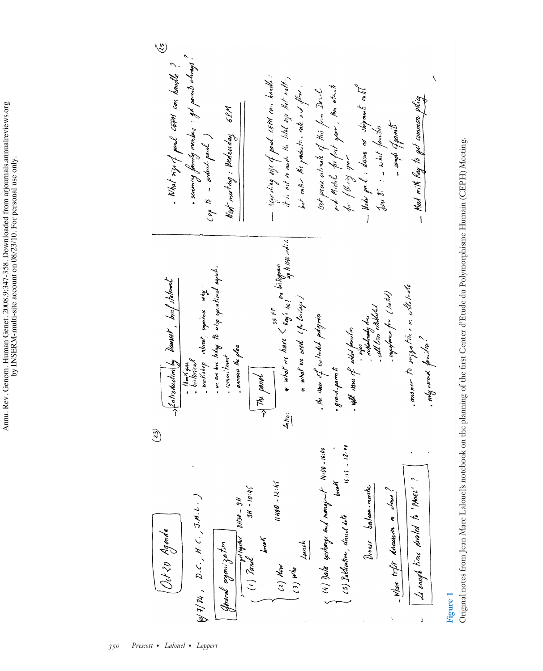1. What apply probability *half labeled* 
$$
\frac{1}{2}
$$
 with *high path small in the high high high high high high high high high high high high high high high high high high high high high high high high high high high high high high high high high high high high high high high high high high high high high high high high high high high high high high high high high high high high high high high high high high high high high high high high high high high high high high high high high high high high high high high high high high high high high high high high high high high high high* 

Original notes from Jean Marc Lalouel's notebook on the planning of the first Center d'Etude du Polymorphisme Humain (CEPH) Meeting. Original notes from Jean Marc Lalouel's notebook on the planning of the first Center d'Etude du Polymorphisme Humain (CEPH) Meeting.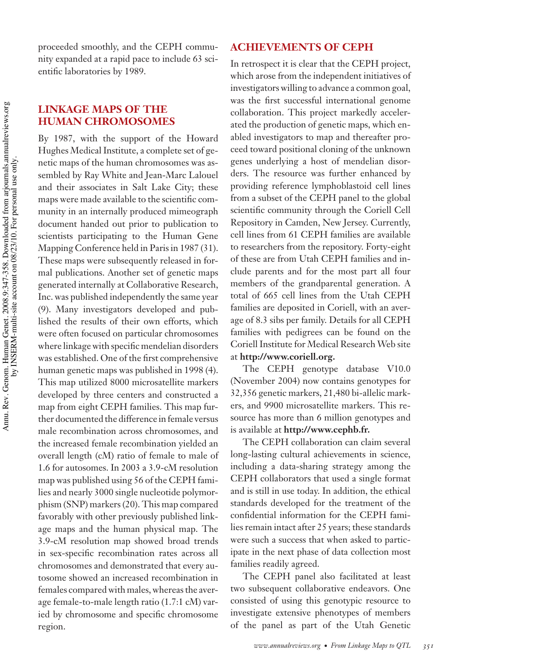proceeded smoothly, and the CEPH community expanded at a rapid pace to include 63 scientific laboratories by 1989.

### **LINKAGE MAPS OF THE HUMAN CHROMOSOMES**

By 1987, with the support of the Howard Hughes Medical Institute, a complete set of genetic maps of the human chromosomes was assembled by Ray White and Jean-Marc Lalouel and their associates in Salt Lake City; these maps were made available to the scientific community in an internally produced mimeograph document handed out prior to publication to scientists participating to the Human Gene Mapping Conference held in Paris in 1987 (31). These maps were subsequently released in formal publications. Another set of genetic maps generated internally at Collaborative Research, Inc. was published independently the same year (9). Many investigators developed and published the results of their own efforts, which were often focused on particular chromosomes where linkage with specific mendelian disorders was established. One of the first comprehensive human genetic maps was published in 1998 (4). This map utilized 8000 microsatellite markers developed by three centers and constructed a map from eight CEPH families. This map further documented the difference in female versus male recombination across chromosomes, and the increased female recombination yielded an overall length (cM) ratio of female to male of 1.6 for autosomes. In 2003 a 3.9-cM resolution map was published using 56 of the CEPH families and nearly 3000 single nucleotide polymorphism (SNP) markers (20). This map compared favorably with other previously published linkage maps and the human physical map. The 3.9-cM resolution map showed broad trends in sex-specific recombination rates across all chromosomes and demonstrated that every autosome showed an increased recombination in females compared with males, whereas the average female-to-male length ratio (1.7:1 cM) varied by chromosome and specific chromosome region.

#### **ACHIEVEMENTS OF CEPH**

In retrospect it is clear that the CEPH project, which arose from the independent initiatives of investigators willing to advance a common goal, was the first successful international genome collaboration. This project markedly accelerated the production of genetic maps, which enabled investigators to map and thereafter proceed toward positional cloning of the unknown genes underlying a host of mendelian disorders. The resource was further enhanced by providing reference lymphoblastoid cell lines from a subset of the CEPH panel to the global scientific community through the Coriell Cell Repository in Camden, New Jersey. Currently, cell lines from 61 CEPH families are available to researchers from the repository. Forty-eight of these are from Utah CEPH families and include parents and for the most part all four members of the grandparental generation. A total of 665 cell lines from the Utah CEPH families are deposited in Coriell, with an average of 8.3 sibs per family. Details for all CEPH families with pedigrees can be found on the Coriell Institute for Medical Research Web site at **http://www.coriell.org.**

The CEPH genotype database V10.0 (November 2004) now contains genotypes for 32,356 genetic markers, 21,480 bi-allelic markers, and 9900 microsatellite markers. This resource has more than 6 million genotypes and is available at **http://www.cephb.fr.**

The CEPH collaboration can claim several long-lasting cultural achievements in science, including a data-sharing strategy among the CEPH collaborators that used a single format and is still in use today. In addition, the ethical standards developed for the treatment of the confidential information for the CEPH families remain intact after 25 years; these standards were such a success that when asked to participate in the next phase of data collection most families readily agreed.

The CEPH panel also facilitated at least two subsequent collaborative endeavors. One consisted of using this genotypic resource to investigate extensive phenotypes of members of the panel as part of the Utah Genetic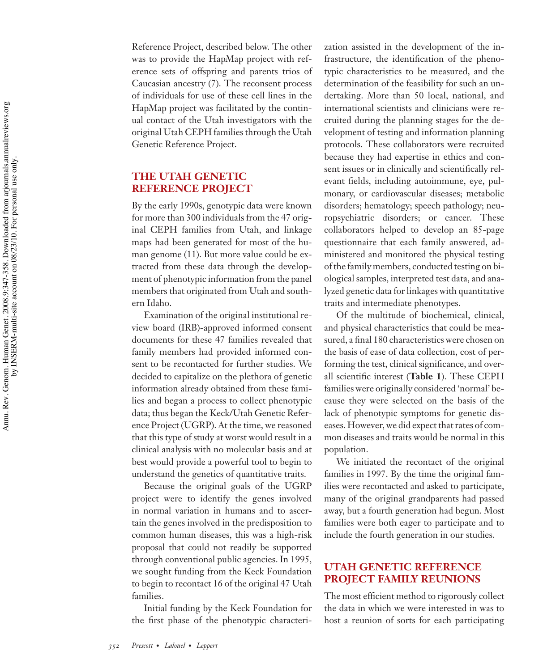Reference Project, described below. The other was to provide the HapMap project with reference sets of offspring and parents trios of Caucasian ancestry (7). The reconsent process of individuals for use of these cell lines in the HapMap project was facilitated by the continual contact of the Utah investigators with the original Utah CEPH families through the Utah Genetic Reference Project.

# **THE UTAH GENETIC REFERENCE PROJECT**

By the early 1990s, genotypic data were known for more than 300 individuals from the 47 original CEPH families from Utah, and linkage maps had been generated for most of the human genome (11). But more value could be extracted from these data through the development of phenotypic information from the panel members that originated from Utah and southern Idaho.

Examination of the original institutional review board (IRB)-approved informed consent documents for these 47 families revealed that family members had provided informed consent to be recontacted for further studies. We decided to capitalize on the plethora of genetic information already obtained from these families and began a process to collect phenotypic data; thus began the Keck/Utah Genetic Reference Project (UGRP). At the time, we reasoned that this type of study at worst would result in a clinical analysis with no molecular basis and at best would provide a powerful tool to begin to understand the genetics of quantitative traits.

Because the original goals of the UGRP project were to identify the genes involved in normal variation in humans and to ascertain the genes involved in the predisposition to common human diseases, this was a high-risk proposal that could not readily be supported through conventional public agencies. In 1995, we sought funding from the Keck Foundation to begin to recontact 16 of the original 47 Utah families.

Initial funding by the Keck Foundation for the first phase of the phenotypic characterization assisted in the development of the infrastructure, the identification of the phenotypic characteristics to be measured, and the determination of the feasibility for such an undertaking. More than 50 local, national, and international scientists and clinicians were recruited during the planning stages for the development of testing and information planning protocols. These collaborators were recruited because they had expertise in ethics and consent issues or in clinically and scientifically relevant fields, including autoimmune, eye, pulmonary, or cardiovascular diseases; metabolic disorders; hematology; speech pathology; neuropsychiatric disorders; or cancer. These collaborators helped to develop an 85-page questionnaire that each family answered, administered and monitored the physical testing of the family members, conducted testing on biological samples, interpreted test data, and analyzed genetic data for linkages with quantitative traits and intermediate phenotypes.

Of the multitude of biochemical, clinical, and physical characteristics that could be measured, a final 180 characteristics were chosen on the basis of ease of data collection, cost of performing the test, clinical significance, and overall scientific interest (**Table 1**). These CEPH families were originally considered 'normal' because they were selected on the basis of the lack of phenotypic symptoms for genetic diseases. However, we did expect that rates of common diseases and traits would be normal in this population.

We initiated the recontact of the original families in 1997. By the time the original families were recontacted and asked to participate, many of the original grandparents had passed away, but a fourth generation had begun. Most families were both eager to participate and to include the fourth generation in our studies.

# **UTAH GENETIC REFERENCE PROJECT FAMILY REUNIONS**

The most efficient method to rigorously collect the data in which we were interested in was to host a reunion of sorts for each participating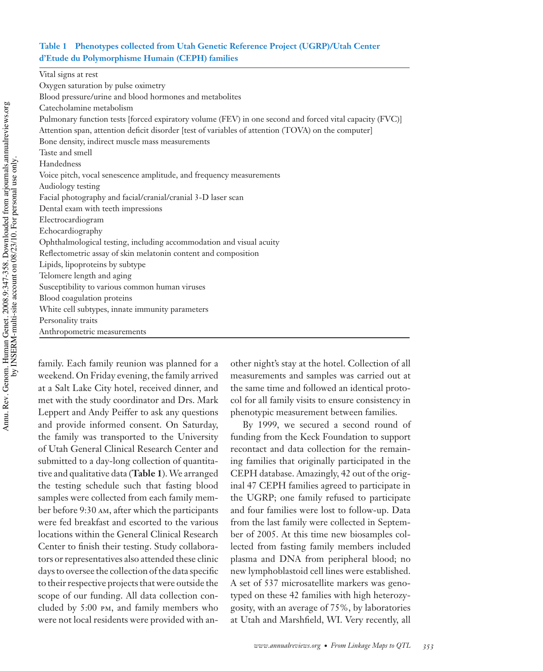#### **Table 1 Phenotypes collected from Utah Genetic Reference Project (UGRP)/Utah Center d'Etude du Polymorphisme Humain (CEPH) families**

| Vital signs at rest                                                                                     |
|---------------------------------------------------------------------------------------------------------|
| Oxygen saturation by pulse oximetry                                                                     |
| Blood pressure/urine and blood hormones and metabolites                                                 |
| Catecholamine metabolism                                                                                |
| Pulmonary function tests [forced expiratory volume (FEV) in one second and forced vital capacity (FVC)] |
| Attention span, attention deficit disorder [test of variables of attention (TOVA) on the computer]      |
| Bone density, indirect muscle mass measurements                                                         |
| Taste and smell                                                                                         |
| Handedness                                                                                              |
| Voice pitch, vocal senescence amplitude, and frequency measurements                                     |
| Audiology testing                                                                                       |
| Facial photography and facial/cranial/cranial 3-D laser scan                                            |
| Dental exam with teeth impressions                                                                      |
| Electrocardiogram                                                                                       |
| Echocardiography                                                                                        |
| Ophthalmological testing, including accommodation and visual acuity                                     |
| Reflectometric assay of skin melatonin content and composition                                          |
| Lipids, lipoproteins by subtype                                                                         |
| Telomere length and aging                                                                               |
| Susceptibility to various common human viruses                                                          |
| Blood coagulation proteins                                                                              |
| White cell subtypes, innate immunity parameters                                                         |
| Personality traits                                                                                      |
| Anthropometric measurements                                                                             |

family. Each family reunion was planned for a weekend. On Friday evening, the family arrived at a Salt Lake City hotel, received dinner, and met with the study coordinator and Drs. Mark Leppert and Andy Peiffer to ask any questions and provide informed consent. On Saturday, the family was transported to the University of Utah General Clinical Research Center and submitted to a day-long collection of quantitative and qualitative data (**Table 1**).We arranged the testing schedule such that fasting blood samples were collected from each family member before 9:30 am, after which the participants were fed breakfast and escorted to the various locations within the General Clinical Research Center to finish their testing. Study collaborators or representatives also attended these clinic days to oversee the collection of the data specific to their respective projects that were outside the scope of our funding. All data collection concluded by 5:00 pm, and family members who were not local residents were provided with an-

other night's stay at the hotel. Collection of all measurements and samples was carried out at the same time and followed an identical protocol for all family visits to ensure consistency in phenotypic measurement between families.

By 1999, we secured a second round of funding from the Keck Foundation to support recontact and data collection for the remaining families that originally participated in the CEPH database. Amazingly, 42 out of the original 47 CEPH families agreed to participate in the UGRP; one family refused to participate and four families were lost to follow-up. Data from the last family were collected in September of 2005. At this time new biosamples collected from fasting family members included plasma and DNA from peripheral blood; no new lymphoblastoid cell lines were established. A set of 537 microsatellite markers was genotyped on these 42 families with high heterozygosity, with an average of 75%, by laboratories at Utah and Marshfield, WI. Very recently, all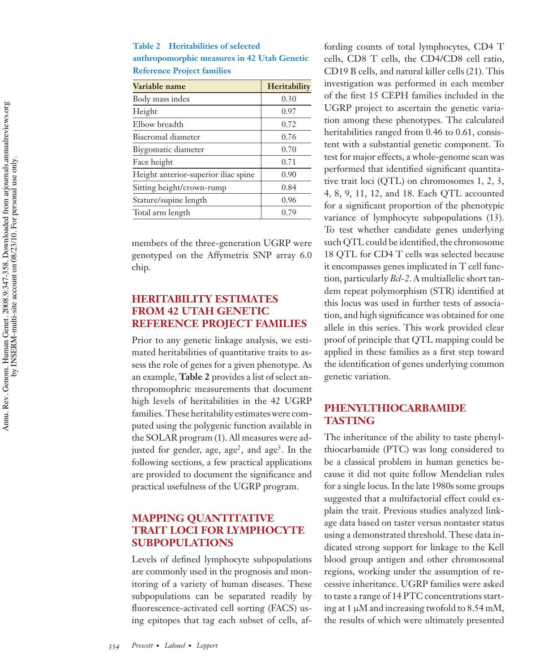#### **Table 2 Heritabilities of selected anthropomorphic measures in 42 Utah Genetic Reference Project families**

| Variable name                        | Heritability |
|--------------------------------------|--------------|
| Body mass index                      | 0.30         |
| Height                               | 0.97         |
| Elbow breadth                        | 0.72         |
| Biacromal diameter                   | 0.76         |
| Biygomatic diameter                  | 0.70         |
| Face height                          | 0.71         |
| Height anterior-superior iliac spine | 0.90         |
| Sitting height/crown-rump            | 0.84         |
| Stature/supine length                | 0.96         |
| Total arm length                     | 0.79         |

members of the three-generation UGRP were genotyped on the Affymetrix SNP array 6.0 chip.

## **HERITABILITY ESTIMATES FROM 42 UTAH GENETIC REFERENCE PROJECT FAMILIES**

Prior to any genetic linkage analysis, we estimated heritabilities of quantitative traits to assess the role of genes for a given phenotype. As an example, **Table 2** provides a list of select anthropomophric measurements that document high levels of heritabilities in the 42 UGRP families. These heritability estimates were computed using the polygenic function available in the SOLAR program (1). All measures were adjusted for gender, age, age<sup>2</sup>, and age<sup>3</sup>. In the following sections, a few practical applications are provided to document the significance and practical usefulness of the UGRP program.

# **MAPPING QUANTITATIVE TRAIT LOCI FOR LYMPHOCYTE SUBPOPULATIONS**

Levels of defined lymphocyte subpopulations are commonly used in the prognosis and monitoring of a variety of human diseases. These subpopulations can be separated readily by fluorescence-activated cell sorting (FACS) using epitopes that tag each subset of cells, affording counts of total lymphocytes, CD4 T cells, CD8 T cells, the CD4/CD8 cell ratio, CD19 B cells, and natural killer cells (21). This investigation was performed in each member of the first 15 CEPH families included in the UGRP project to ascertain the genetic variation among these phenotypes. The calculated heritabilities ranged from 0.46 to 0.61, consistent with a substantial genetic component. To test for major effects, a whole-genome scan was performed that identified significant quantitative trait loci (QTL) on chromosomes 1, 2, 3, 4, 8, 9, 11, 12, and 18. Each QTL accounted for a significant proportion of the phenotypic variance of lymphocyte subpopulations (13). To test whether candidate genes underlying such QTL could be identified, the chromosome 18 QTL for CD4 T cells was selected because it encompasses genes implicated in T cell function, particularly *Bcl-2*. A multiallelic short tandem repeat polymorphism (STR) identified at this locus was used in further tests of association, and high significance was obtained for one allele in this series. This work provided clear proof of principle that QTL mapping could be applied in these families as a first step toward the identification of genes underlying common genetic variation.

# **PHENYLTHIOCARBAMIDE TASTING**

The inheritance of the ability to taste phenylthiocarbamide (PTC) was long considered to be a classical problem in human genetics because it did not quite follow Mendelian rules for a single locus. In the late 1980s some groups suggested that a multifactorial effect could explain the trait. Previous studies analyzed linkage data based on taster versus nontaster status using a demonstrated threshold. These data indicated strong support for linkage to the Kell blood group antigen and other chromosomal regions, working under the assumption of recessive inheritance. UGRP families were asked to taste a range of 14 PTC concentrations starting at 1  $\mu$ M and increasing twofold to 8.54 mM, the results of which were ultimately presented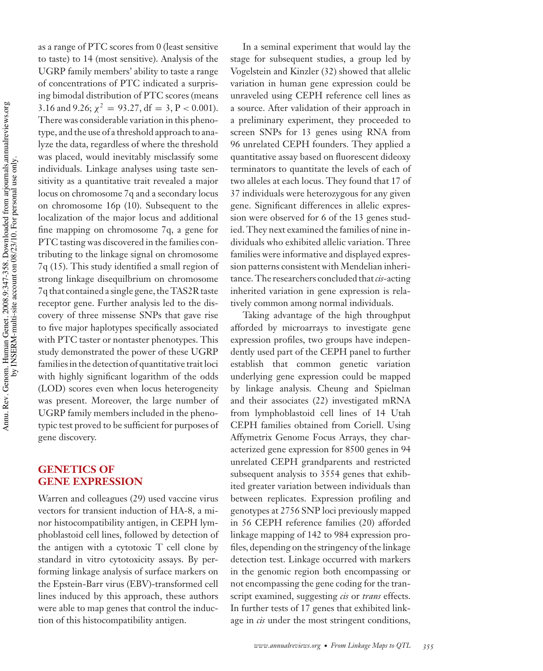as a range of PTC scores from 0 (least sensitive to taste) to 14 (most sensitive). Analysis of the UGRP family members' ability to taste a range of concentrations of PTC indicated a surprising bimodal distribution of PTC scores (means 3.16 and 9.26;  $\chi^2 = 93.27$ , df = 3, P < 0.001). There was considerable variation in this phenotype, and the use of a threshold approach to analyze the data, regardless of where the threshold was placed, would inevitably misclassify some individuals. Linkage analyses using taste sensitivity as a quantitative trait revealed a major locus on chromosome 7q and a secondary locus on chromosome 16p (10). Subsequent to the localization of the major locus and additional fine mapping on chromosome 7q, a gene for PTC tasting was discovered in the families contributing to the linkage signal on chromosome 7q (15). This study identified a small region of strong linkage disequilbrium on chromosome 7q that contained a single gene, the TAS2R taste receptor gene. Further analysis led to the discovery of three missense SNPs that gave rise to five major haplotypes specifically associated with PTC taster or nontaster phenotypes. This study demonstrated the power of these UGRP families in the detection of quantitative trait loci with highly significant logarithm of the odds (LOD) scores even when locus heterogeneity was present. Moreover, the large number of UGRP family members included in the phenotypic test proved to be sufficient for purposes of gene discovery.

## **GENETICS OF GENE EXPRESSION**

Warren and colleagues (29) used vaccine virus vectors for transient induction of HA-8, a minor histocompatibility antigen, in CEPH lymphoblastoid cell lines, followed by detection of the antigen with a cytotoxic T cell clone by standard in vitro cytotoxicity assays. By performing linkage analysis of surface markers on the Epstein-Barr virus (EBV)-transformed cell lines induced by this approach, these authors were able to map genes that control the induction of this histocompatibility antigen.

In a seminal experiment that would lay the stage for subsequent studies, a group led by Vogelstein and Kinzler (32) showed that allelic variation in human gene expression could be unraveled using CEPH reference cell lines as a source. After validation of their approach in a preliminary experiment, they proceeded to screen SNPs for 13 genes using RNA from 96 unrelated CEPH founders. They applied a quantitative assay based on fluorescent dideoxy terminators to quantitate the levels of each of two alleles at each locus. They found that 17 of 37 individuals were heterozygous for any given gene. Significant differences in allelic expression were observed for 6 of the 13 genes studied. They next examined the families of nine individuals who exhibited allelic variation. Three families were informative and displayed expression patterns consistent with Mendelian inheritance. The researchers concluded that*cis-*acting inherited variation in gene expression is relatively common among normal individuals.

Taking advantage of the high throughput afforded by microarrays to investigate gene expression profiles, two groups have independently used part of the CEPH panel to further establish that common genetic variation underlying gene expression could be mapped by linkage analysis. Cheung and Spielman and their associates (22) investigated mRNA from lymphoblastoid cell lines of 14 Utah CEPH families obtained from Coriell. Using Affymetrix Genome Focus Arrays, they characterized gene expression for 8500 genes in 94 unrelated CEPH grandparents and restricted subsequent analysis to 3554 genes that exhibited greater variation between individuals than between replicates. Expression profiling and genotypes at 2756 SNP loci previously mapped in 56 CEPH reference families (20) afforded linkage mapping of 142 to 984 expression profiles, depending on the stringency of the linkage detection test. Linkage occurred with markers in the genomic region both encompassing or not encompassing the gene coding for the transcript examined, suggesting *cis* or *trans* effects. In further tests of 17 genes that exhibited linkage in *cis* under the most stringent conditions,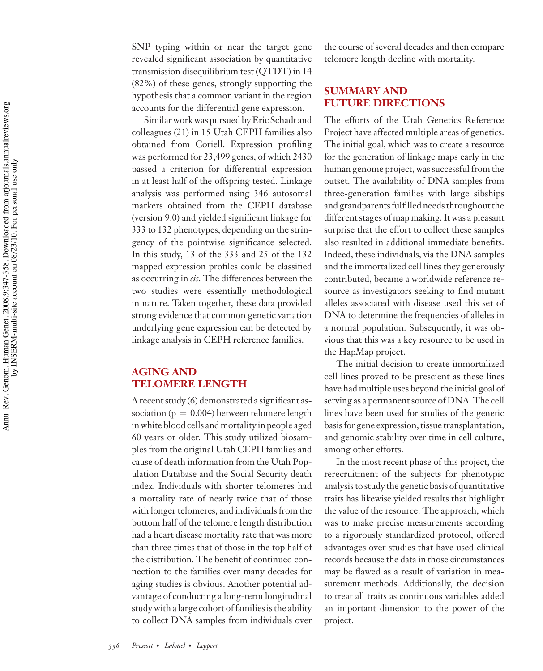SNP typing within or near the target gene revealed significant association by quantitative transmission disequilibrium test (QTDT) in 14 (82%) of these genes, strongly supporting the hypothesis that a common variant in the region accounts for the differential gene expression.

Similar work was pursued by Eric Schadt and colleagues (21) in 15 Utah CEPH families also obtained from Coriell. Expression profiling was performed for 23,499 genes, of which 2430 passed a criterion for differential expression in at least half of the offspring tested. Linkage analysis was performed using 346 autosomal markers obtained from the CEPH database (version 9.0) and yielded significant linkage for 333 to 132 phenotypes, depending on the stringency of the pointwise significance selected. In this study, 13 of the 333 and 25 of the 132 mapped expression profiles could be classified as occurring in *cis*. The differences between the two studies were essentially methodological in nature. Taken together, these data provided strong evidence that common genetic variation underlying gene expression can be detected by linkage analysis in CEPH reference families.

## **AGING AND TELOMERE LENGTH**

A recent study (6) demonstrated a significant association ( $p = 0.004$ ) between telomere length in white blood cells and mortality in people aged 60 years or older. This study utilized biosamples from the original Utah CEPH families and cause of death information from the Utah Population Database and the Social Security death index. Individuals with shorter telomeres had a mortality rate of nearly twice that of those with longer telomeres, and individuals from the bottom half of the telomere length distribution had a heart disease mortality rate that was more than three times that of those in the top half of the distribution. The benefit of continued connection to the families over many decades for aging studies is obvious. Another potential advantage of conducting a long-term longitudinal study with a large cohort of families is the ability to collect DNA samples from individuals over the course of several decades and then compare telomere length decline with mortality.

# **SUMMARY AND FUTURE DIRECTIONS**

The efforts of the Utah Genetics Reference Project have affected multiple areas of genetics. The initial goal, which was to create a resource for the generation of linkage maps early in the human genome project, was successful from the outset. The availability of DNA samples from three-generation families with large sibships and grandparents fulfilled needs throughout the different stages of map making. It was a pleasant surprise that the effort to collect these samples also resulted in additional immediate benefits. Indeed, these individuals, via the DNA samples and the immortalized cell lines they generously contributed, became a worldwide reference resource as investigators seeking to find mutant alleles associated with disease used this set of DNA to determine the frequencies of alleles in a normal population. Subsequently, it was obvious that this was a key resource to be used in the HapMap project.

The initial decision to create immortalized cell lines proved to be prescient as these lines have had multiple uses beyond the initial goal of serving as a permanent source of DNA. The cell lines have been used for studies of the genetic basis for gene expression, tissue transplantation, and genomic stability over time in cell culture, among other efforts.

In the most recent phase of this project, the rerecruitment of the subjects for phenotypic analysis to study the genetic basis of quantitative traits has likewise yielded results that highlight the value of the resource. The approach, which was to make precise measurements according to a rigorously standardized protocol, offered advantages over studies that have used clinical records because the data in those circumstances may be flawed as a result of variation in measurement methods. Additionally, the decision to treat all traits as continuous variables added an important dimension to the power of the project.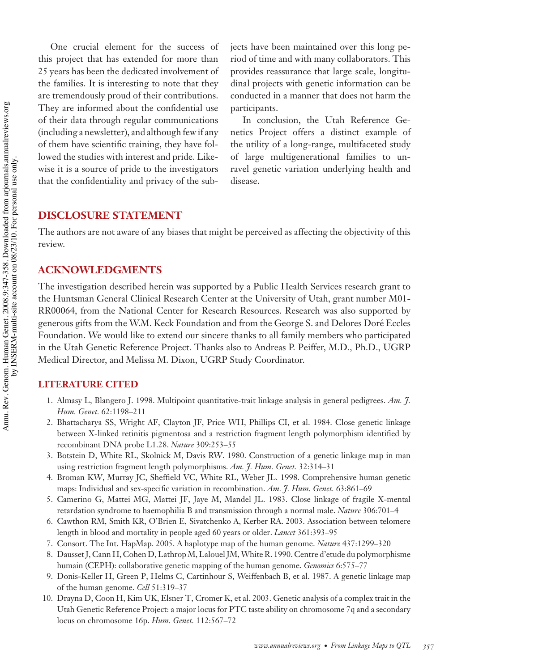One crucial element for the success of this project that has extended for more than 25 years has been the dedicated involvement of the families. It is interesting to note that they are tremendously proud of their contributions. They are informed about the confidential use of their data through regular communications (including a newsletter), and although few if any of them have scientific training, they have followed the studies with interest and pride. Likewise it is a source of pride to the investigators that the confidentiality and privacy of the sub-

jects have been maintained over this long period of time and with many collaborators. This provides reassurance that large scale, longitudinal projects with genetic information can be conducted in a manner that does not harm the participants.

In conclusion, the Utah Reference Genetics Project offers a distinct example of the utility of a long-range, multifaceted study of large multigenerational families to unravel genetic variation underlying health and disease.

#### **DISCLOSURE STATEMENT**

The authors are not aware of any biases that might be perceived as affecting the objectivity of this review.

#### **ACKNOWLEDGMENTS**

The investigation described herein was supported by a Public Health Services research grant to the Huntsman General Clinical Research Center at the University of Utah, grant number M01- RR00064, from the National Center for Research Resources. Research was also supported by generous gifts from the W.M. Keck Foundation and from the George S. and Delores Dore Eccles ´ Foundation. We would like to extend our sincere thanks to all family members who participated in the Utah Genetic Reference Project. Thanks also to Andreas P. Peiffer, M.D., Ph.D., UGRP Medical Director, and Melissa M. Dixon, UGRP Study Coordinator.

#### **LITERATURE CITED**

- 1. Almasy L, Blangero J. 1998. Multipoint quantitative-trait linkage analysis in general pedigrees. *Am. J. Hum. Genet.* 62:1198–211
- 2. Bhattacharya SS, Wright AF, Clayton JF, Price WH, Phillips CI, et al. 1984. Close genetic linkage between X-linked retinitis pigmentosa and a restriction fragment length polymorphism identified by recombinant DNA probe L1.28. *Nature* 309:253–55
- 3. Botstein D, White RL, Skolnick M, Davis RW. 1980. Construction of a genetic linkage map in man using restriction fragment length polymorphisms. *Am. J. Hum. Genet.* 32:314–31
- 4. Broman KW, Murray JC, Sheffield VC, White RL, Weber JL. 1998. Comprehensive human genetic maps: Individual and sex-specific variation in recombination. *Am. J. Hum. Genet.* 63:861–69
- 5. Camerino G, Mattei MG, Mattei JF, Jaye M, Mandel JL. 1983. Close linkage of fragile X-mental retardation syndrome to haemophilia B and transmission through a normal male. *Nature* 306:701–4
- 6. Cawthon RM, Smith KR, O'Brien E, Sivatchenko A, Kerber RA. 2003. Association between telomere length in blood and mortality in people aged 60 years or older. *Lancet* 361:393–95
- 7. Consort. The Int. HapMap. 2005. A haplotype map of the human genome. *Nature* 437:1299–320
- 8. Dausset J, Cann H, Cohen D, Lathrop M, Lalouel JM,White R. 1990. Centre d'etude du polymorphisme humain (CEPH): collaborative genetic mapping of the human genome. *Genomics* 6:575–77
- 9. Donis-Keller H, Green P, Helms C, Cartinhour S, Weiffenbach B, et al. 1987. A genetic linkage map of the human genome. *Cell* 51:319–37
- 10. Drayna D, Coon H, Kim UK, Elsner T, Cromer K, et al. 2003. Genetic analysis of a complex trait in the Utah Genetic Reference Project: a major locus for PTC taste ability on chromosome 7q and a secondary locus on chromosome 16p. *Hum. Genet.* 112:567–72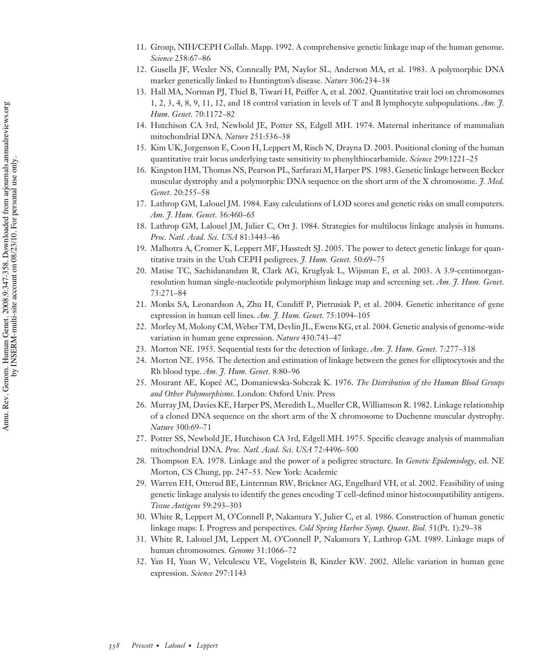- 11. Group, NIH/CEPH Collab. Mapp. 1992. A comprehensive genetic linkage map of the human genome. *Science* 258:67–86
- 12. Gusella JF, Wexler NS, Conneally PM, Naylor SL, Anderson MA, et al. 1983. A polymorphic DNA marker genetically linked to Huntington's disease. *Nature* 306:234–38
- 13. Hall MA, Norman PJ, Thiel B, Tiwari H, Peiffer A, et al. 2002. Quantitative trait loci on chromosomes 1, 2, 3, 4, 8, 9, 11, 12, and 18 control variation in levels of T and B lymphocyte subpopulations. *Am. J. Hum. Genet.* 70:1172–82
- 14. Hutchison CA 3rd, Newbold JE, Potter SS, Edgell MH. 1974. Maternal inheritance of mammalian mitochondrial DNA. *Nature* 251:536–38
- 15. Kim UK, Jorgenson E, Coon H, Leppert M, Risch N, Drayna D. 2003. Positional cloning of the human quantitative trait locus underlying taste sensitivity to phenylthiocarbamide. *Science* 299:1221–25
- 16. Kingston HM, Thomas NS, Pearson PL, Sarfarazi M, Harper PS. 1983. Genetic linkage between Becker muscular dystrophy and a polymorphic DNA sequence on the short arm of the X chromosome. *J. Med. Genet.* 20:255–58
- 17. Lathrop GM, Lalouel JM. 1984. Easy calculations of LOD scores and genetic risks on small computers. *Am. J. Hum. Genet.* 36:460–65
- 18. Lathrop GM, Lalouel JM, Julier C, Ott J. 1984. Strategies for multilocus linkage analysis in humans. *Proc. Natl. Acad. Sci. USA* 81:3443–46
- 19. Malhotra A, Cromer K, Leppert MF, Hasstedt SJ. 2005. The power to detect genetic linkage for quantitative traits in the Utah CEPH pedigrees. *J. Hum. Genet.* 50:69–75
- 20. Matise TC, Sachidanandam R, Clark AG, Kruglyak L, Wijsman E, et al. 2003. A 3.9-centimorganresolution human single-nucleotide polymorphism linkage map and screening set. *Am. J. Hum. Genet.* 73:271–84
- 21. Monks SA, Leonardson A, Zhu H, Cundiff P, Pietrusiak P, et al. 2004. Genetic inheritance of gene expression in human cell lines. *Am. J. Hum. Genet.* 75:1094–105
- 22. Morley M, Molony CM,Weber TM, Devlin JL, Ewens KG, et al. 2004. Genetic analysis of genome-wide variation in human gene expression. *Nature* 430:743–47
- 23. Morton NE. 1955. Sequential tests for the detection of linkage. *Am. J. Hum. Genet.* 7:277–318
- 24. Morton NE. 1956. The detection and estimation of linkage between the genes for elliptocytosis and the Rh blood type. *Am. J. Hum. Genet.* 8:80–96
- 25. Mourant AE, Kopec AC, Domaniewska-Sobczak K. 1976. ´ *The Distribution of the Human Blood Groups and Other Polymorphisms*. London: Oxford Univ. Press
- 26. Murray JM, Davies KE, Harper PS, Meredith L, Mueller CR, Williamson R. 1982. Linkage relationship of a cloned DNA sequence on the short arm of the X chromosome to Duchenne muscular dystrophy. *Nature* 300:69–71
- 27. Potter SS, Newbold JE, Hutchison CA 3rd, Edgell MH. 1975. Specific cleavage analysis of mammalian mitochondrial DNA. *Proc. Natl. Acad. Sci. USA* 72:4496–500
- 28. Thompson EA. 1978. Linkage and the power of a pedigree structure. In *Genetic Epidemiology*, ed. NE Morton, CS Chung, pp. 247–53. New York: Academic
- 29. Warren EH, Otterud BE, Linterman RW, Brickner AG, Engelhard VH, et al. 2002. Feasibility of using genetic linkage analysis to identify the genes encoding T cell-defined minor histocompatibility antigens. *Tissue Antigens* 59:293–303
- 30. White R, Leppert M, O'Connell P, Nakamura Y, Julier C, et al. 1986. Construction of human genetic linkage maps: I. Progress and perspectives. *Cold Spring Harbor Symp. Quant. Biol.* 51(Pt. 1):29–38
- 31. White R, Lalouel JM, Leppert M, O'Connell P, Nakamura Y, Lathrop GM. 1989. Linkage maps of human chromosomes. *Genome* 31:1066–72
- 32. Yan H, Yuan W, Velculescu VE, Vogelstein B, Kinzler KW. 2002. Allelic variation in human gene expression. *Science* 297:1143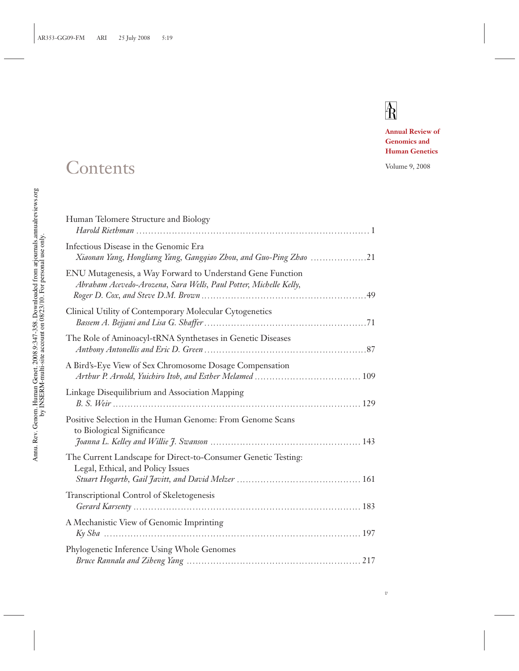# $\overline{\text{R}}$

**Annual Review of Genomics and Human Genetics**

# Contents Volume 9, 2008

| Human Telomere Structure and Biology                                                                                            |
|---------------------------------------------------------------------------------------------------------------------------------|
| Infectious Disease in the Genomic Era<br>Xiaonan Yang, Hongliang Yang, Gangqiao Zhou, and Guo-Ping Zhao 21                      |
| ENU Mutagenesis, a Way Forward to Understand Gene Function<br>Abraham Acevedo-Arozena, Sara Wells, Paul Potter, Michelle Kelly, |
| Clinical Utility of Contemporary Molecular Cytogenetics                                                                         |
| The Role of Aminoacyl-tRNA Synthetases in Genetic Diseases                                                                      |
| A Bird's-Eye View of Sex Chromosome Dosage Compensation                                                                         |
| Linkage Disequilibrium and Association Mapping                                                                                  |
| Positive Selection in the Human Genome: From Genome Scans<br>to Biological Significance                                         |
| The Current Landscape for Direct-to-Consumer Genetic Testing:<br>Legal, Ethical, and Policy Issues                              |
| Transcriptional Control of Skeletogenesis                                                                                       |
| A Mechanistic View of Genomic Imprinting                                                                                        |
| Phylogenetic Inference Using Whole Genomes                                                                                      |